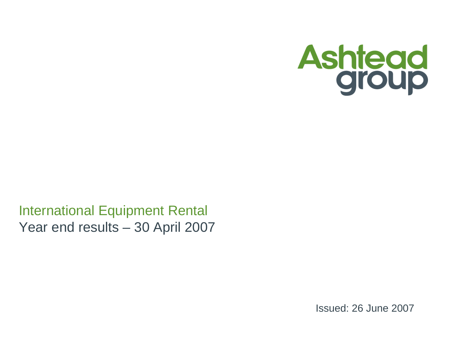

International Equipment Rental Year end results – 30 April 2007

Issued: 26 June 2007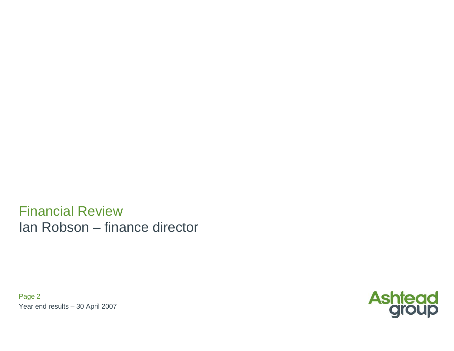Financial ReviewIan Robson – finance director

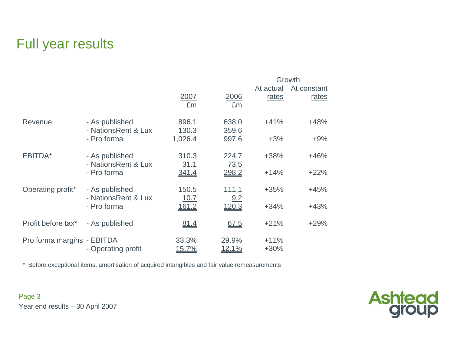## Full year results

|                            |                                       |                       |                       | Growth           |             |  |  |
|----------------------------|---------------------------------------|-----------------------|-----------------------|------------------|-------------|--|--|
|                            |                                       |                       |                       | At actual        | At constant |  |  |
|                            |                                       | 2007<br>£m            | 2006<br>£m            | rates            | rates       |  |  |
| Revenue                    | - As published<br>- NationsRent & Lux | 896.1<br>130.3        | 638.0<br>359.6        | $+41%$           | $+48%$      |  |  |
|                            | - Pro forma                           | 1,026.4               | 997.6                 | $+3%$            | $+9%$       |  |  |
| EBITDA*                    | - As published<br>- NationsRent & Lux | 310.3<br><u>31.1</u>  | 224.7<br>73.5         | $+38%$           | $+46%$      |  |  |
|                            | - Pro forma                           | 341.4                 | 298.2                 | $+14%$           | $+22%$      |  |  |
| Operating profit*          | - As published<br>- NationsRent & Lux | 150.5<br>10.7         | 111.1<br>9.2          | $+35%$           | $+45%$      |  |  |
|                            | - Pro forma                           | 161.2                 | 120.3                 | $+34%$           | $+43%$      |  |  |
| Profit before tax*         | - As published                        | <u>81.4</u>           | <u>67.5</u>           | $+21%$           | $+29%$      |  |  |
| Pro forma margins - EBITDA | - Operating profit                    | 33.3%<br><u>15.7%</u> | 29.9%<br><u>12.1%</u> | $+11%$<br>$+30%$ |             |  |  |

\* Before exceptional items, amortisation of acquired intangibles and fair value remeasurements

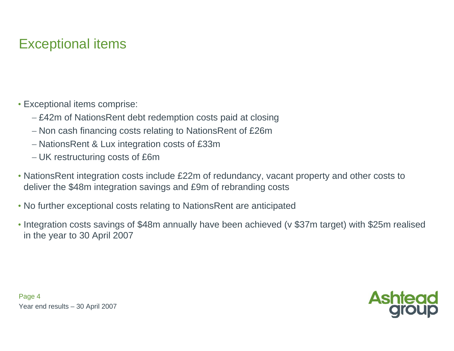# Exceptional items

- Exceptional items comprise:
	- − £42m of NationsRent debt redemption costs paid at closing
	- − Non cash financing costs relating to NationsRent of £26m
	- − NationsRent & Lux integration costs of £33m
	- − UK restructuring costs of £6m
- NationsRent integration costs include £22m of redundancy, vacant property and other costs to deliver the \$48m integration savings and £9m of rebranding costs
- No further exceptional costs relating to NationsRent are anticipated
- Integration costs savings of \$48m annually have been achieved (v \$37m target) with \$25m realised in the year to 30 April 2007

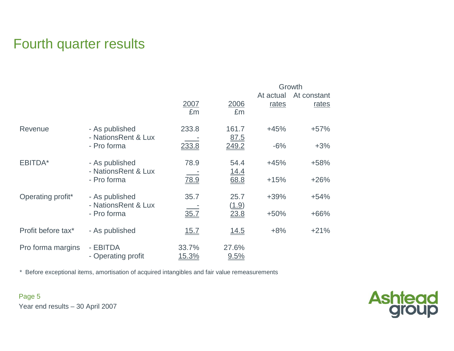## Fourth quarter results

|                    |                                       |                        |                     |                    | Growth               |
|--------------------|---------------------------------------|------------------------|---------------------|--------------------|----------------------|
|                    |                                       | 2007<br>£m             | 2006<br>£m          | At actual<br>rates | At constant<br>rates |
| Revenue            | - As published<br>- NationsRent & Lux | 233.8                  | 161.7<br>87.5       | $+45%$             | $+57%$               |
|                    | - Pro forma                           | 233.8                  | 249.2               | $-6%$              | $+3%$                |
| EBITDA*            | - As published<br>- NationsRent & Lux | 78.9                   | 54.4<br><u>14.4</u> | $+45%$             | $+58%$               |
|                    | - Pro forma                           | 78.9                   | 68.8                | $+15%$             | $+26%$               |
| Operating profit*  | - As published<br>- NationsRent & Lux | 35.7                   | 25.7                | $+39%$             | $+54%$               |
|                    | - Pro forma                           | 35.7                   | (1.9)<br>23.8       | $+50%$             | $+66%$               |
| Profit before tax* | - As published                        | 15.7                   | 14.5                | $+8%$              | $+21%$               |
| Pro forma margins  | - EBITDA<br>- Operating profit        | 33.7%<br><u> 15.3%</u> | 27.6%<br>9.5%       |                    |                      |

\* Before exceptional items, amortisation of acquired intangibles and fair value remeasurements

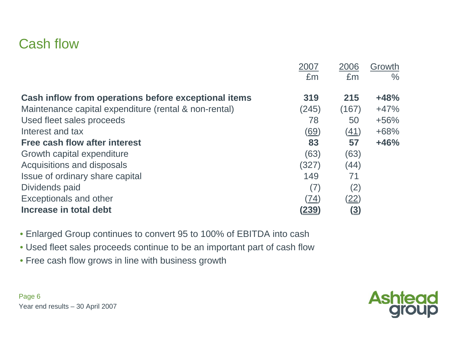#### Cash flow

|                                                       | 2007         | 2006                           | Growth        |
|-------------------------------------------------------|--------------|--------------------------------|---------------|
|                                                       | £m           | £m                             | $\frac{0}{0}$ |
|                                                       |              |                                |               |
| Cash inflow from operations before exceptional items  | 319          | 215                            | $+48%$        |
| Maintenance capital expenditure (rental & non-rental) | (245)        | (167)                          | $+47%$        |
| Used fleet sales proceeds                             | 78           | 50                             | $+56%$        |
| Interest and tax                                      | (69)         | (41)                           | $+68%$        |
| Free cash flow after interest                         | 83           | 57                             | $+46%$        |
| Growth capital expenditure                            | (63)         | (63)                           |               |
| Acquisitions and disposals                            | (327)        | (44)                           |               |
| Issue of ordinary share capital                       | 149          | 71                             |               |
| Dividends paid                                        | (7)          | (2)                            |               |
| <b>Exceptionals and other</b>                         | (74)         | <u>(22)</u>                    |               |
| Increase in total debt                                | <u>(239)</u> | $\left( \underline{3} \right)$ |               |

• Enlarged Group continues to convert 95 to 100% of EBITDA into cash

- Used fleet sales proceeds continue to be an important part of cash flow
- Free cash flow grows in line with business growth



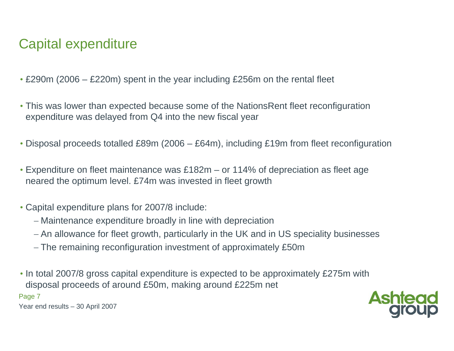# Capital expenditure

- £290m (2006 £220m) spent in the year including £256m on the rental fleet
- This was lower than expected because some of the NationsRent fleet reconfiguration expenditure was delayed from Q4 into the new fiscal year
- Disposal proceeds totalled £89m (2006 £64m), including £19m from fleet reconfiguration
- Expenditure on fleet maintenance was £182m or 114% of depreciation as fleet age neared the optimum level. £74m was invested in fleet growth
- Capital expenditure plans for 2007/8 include:
	- − Maintenance expenditure broadly in line with depreciation
	- − An allowance for fleet growth, particularly in the UK and in US speciality businesses
	- − The remaining reconfiguration investment of approximately £50m
- In total 2007/8 gross capital expenditure is expected to be approximately £275m with disposal proceeds of around £50m, making around £225m net

Page 7

Year end results – 30 April 2007

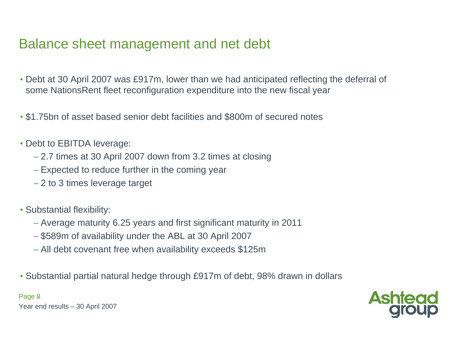## Balance sheet management and net debt

- Debt at 30 April 2007 was £917m, lower than we had anticipated r eflecting the deferral of some NationsRent fleet reconfiguration expenditure into the new fiscal year
- \$1.75bn of asset based senior debt facilities and \$800m of secured notes
- Debt to EBITDA leverage:
	- − 2.7 times at 30 April 2007 down from 3.2 times at closing
	- − Expected to reduce further in the coming year
	- − 2 to 3 times leverage target
- Substantial flexibility:
	- − Average maturity 6.25 years and first significant maturity in 2011
	- − \$589m of availability under the ABL at 30 April 2007
	- − All debt covenant free when availability exceeds \$125m
- Substantial partial natural hedge through £917m of debt, 98% drawn in dollars

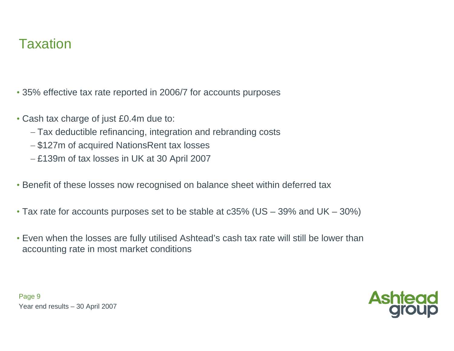## **Taxation**

• 35% effective tax rate reported in 2006/7 for accounts purposes

- Cash tax charge of just £0.4m due to:
	- − Tax deductible refinancing, integration and rebranding costs
	- − \$127m of acquired NationsRent tax losses
	- − £139m of tax losses in UK at 30 April 2007
- Benefit of these losses now recognised on balance sheet within deferred tax
- Tax rate for accounts purposes set to be stable at c35% (US 39% and UK 30%)
- Even when the losses are fully utilised Ashtead's cash tax rate will still be lower than accounting rate in most market conditions



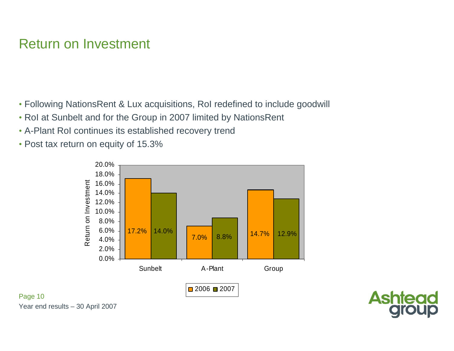## Return on Investment

- Following NationsRent & Lux acquisitions, RoI redefined to include goodwill
- RoI at Sunbelt and for the Group in 2007 limited by NationsRent
- A-Plant RoI continues its established recovery trend
- Post tax return on equity of 15.3%





Year end results – 30 April 2007

Page 10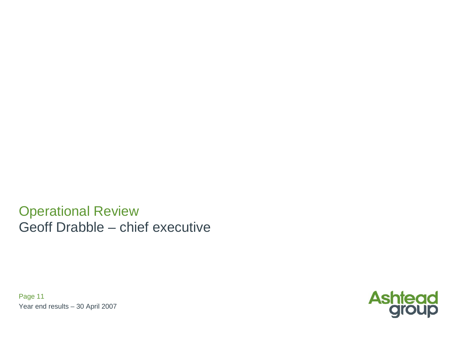Operational Review Geoff Drabble – chief executive

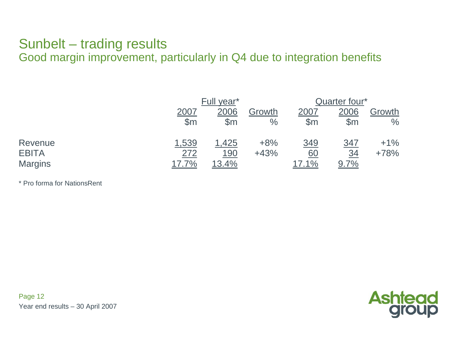## Sunbelt – trading results

Good margin improvement, particularly in Q4 due to integration benefits

|                | Full year*    |               |        | Quarter four* |               |        |  |
|----------------|---------------|---------------|--------|---------------|---------------|--------|--|
|                | <u> 2007</u>  | 2006          | Growth | <u> 2007</u>  | 2006          | Growth |  |
|                | $\mathsf{Sm}$ | $\mathsf{Sm}$ | $\%$   | $\mathsf{Sm}$ | $\mathsf{Sm}$ | $\%$   |  |
| Revenue        | 1,539         | 1,425         | $+8%$  | 349           | <u>347</u>    | $+1\%$ |  |
| <b>EBITA</b>   | 272           | <u>190</u>    | $+43%$ | <u>60</u>     | <u>34</u>     | $+78%$ |  |
| <b>Margins</b> | 17.7%         | 13.4%         |        | 17.1%         | 9.7%          |        |  |

\* Pro forma for NationsRent

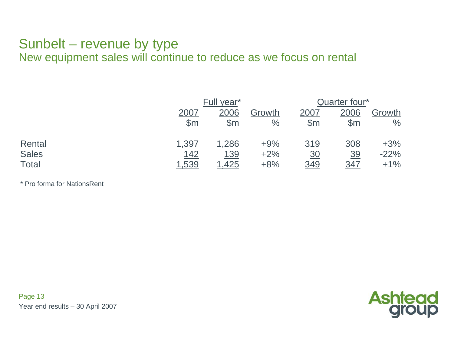### Sunbelt – revenue by type

New equipment sales will continue to reduce as we focus on rental

|              | Full year*     |                |        |               | Quarter four*  |        |  |  |
|--------------|----------------|----------------|--------|---------------|----------------|--------|--|--|
|              | 2007           | 2006           | Growth | 2007          | 2006           | Growth |  |  |
|              | $\mathsf{S}$ m | $\mathsf{S}$ m | $\%$   | $\mathsf{Sm}$ | $\mathsf{S}$ m | $\%$   |  |  |
| Rental       | 1,397          | 1,286          | $+9%$  | 319           | 308            | $+3%$  |  |  |
| <b>Sales</b> | <u> 142</u>    | <u> 139</u>    | $+2%$  | <u>30</u>     | <u>39</u>      | $-22%$ |  |  |
| Total        | 1,539          | 1,425          | $+8%$  | <u>349</u>    | 347            | $+1\%$ |  |  |

\* Pro forma for NationsRent

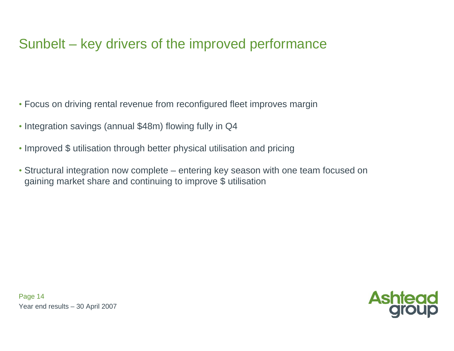# Sunbelt – key drivers of the improved performance

- Focus on driving rental revenue from reconfigured fleet improves margin
- Integration savings (annual \$48m) flowing fully in Q4
- Improved \$ utilisation through better physical utilisation and pricing
- Structural integration now complete entering key season with one team focused on gaining market share and continuing to improve \$ utilisation

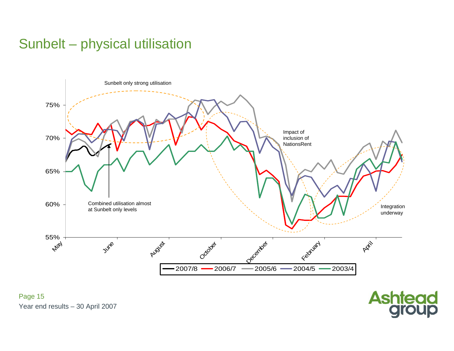# Sunbelt – physical utilisation



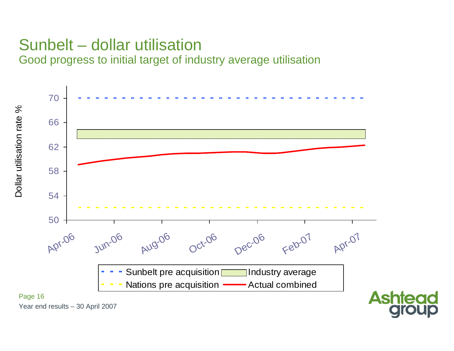## Sunbelt – dollar utilisation Good progress to initial target of industry average utilisation

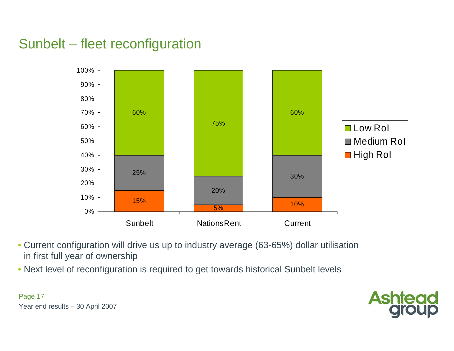# Sunbelt – fleet reconfiguration



- Current configuration will drive us up to industry average (63-65%) dollar utilisation in first full year of ownership
- Next level of reconfiguration is required to get towards historical Sunbelt levels

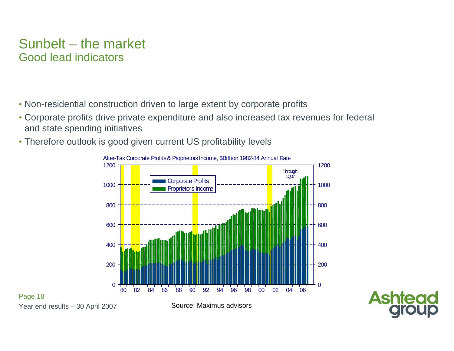#### Sunbelt – the market Good lead indicators

- Non-residential construction driven to large extent by corporate profits
- Corporate profits drive private expenditure and also increased tax revenues for federal and state spending initiatives
- Therefore outlook is good given current US profitability levels





Year end results – 30 April 2007

Page 18

Source: Maximus advisors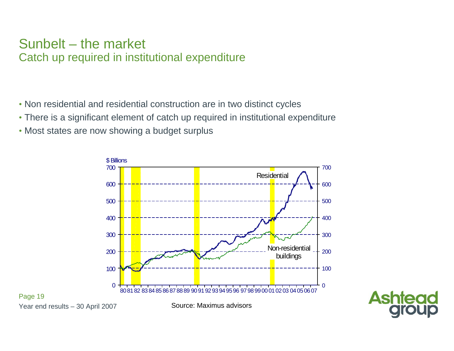#### Sunbelt – the market Catch up required in institutional expenditure

- Non residential and residential construction are in two distinct cycles
- There is a significant element of catch up required in institutional expenditure
- Most states are now showing a budget surplus





Year end results – 30 April 2007

Page 19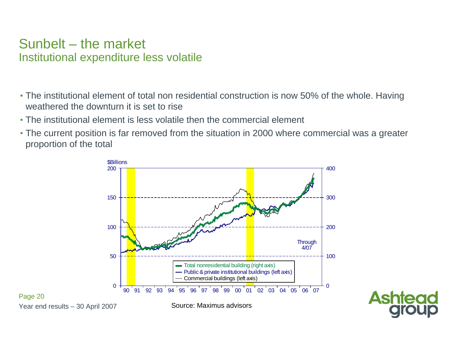#### Sunbelt – the market Institutional expenditure less volatile

- The institutional element of total non residential construction is now 50% of the whole. Having weathered the downturn it is set to rise
- The institutional element is less volatile then the commercial element
- The current position is far removed from the situation in 2000 where commercial was a greater proportion of the total





Year end results – 30 April 2007 Page 20

Source: Maximus advisors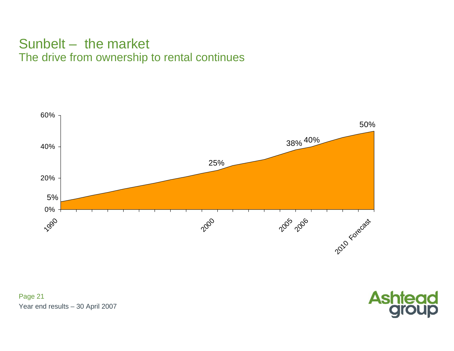#### Sunbelt – the market The drive from ownership to rental continues



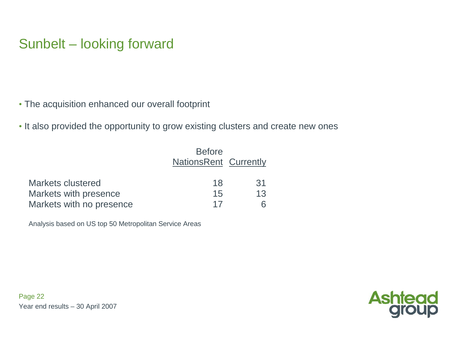# Sunbelt – looking forward

- The acquisition enhanced our overall footprint
- It also provided the opportunity to grow existing clusters and create new ones

|                          | <b>Before</b><br><b>NationsRent Currently</b> |    |
|--------------------------|-----------------------------------------------|----|
| Markets clustered        | 18                                            | 31 |
| Markets with presence    | 15                                            | 13 |
| Markets with no presence | 17                                            |    |

Analysis based on US top 50 Metropolitan Service Areas

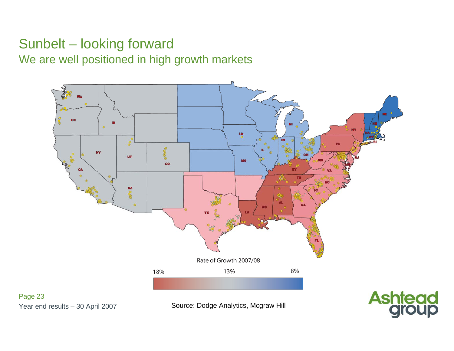## Sunbelt – looking forward We are well positioned in high growth markets



Year end results – 30 April 2007

Page 23

Source: Dodge Analytics, Mcgraw Hill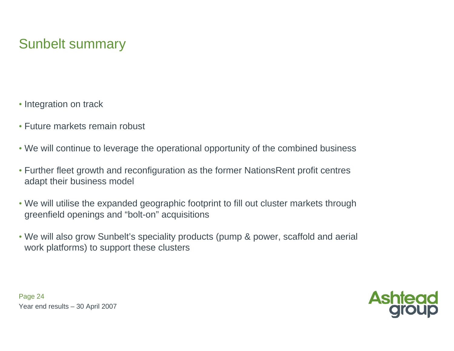## Sunbelt summary

- Integration on track
- Future markets remain robust
- We will continue to leverage the operational opportunity of the combined business
- Further fleet growth and reconfiguration as the former NationsRent profit centres adapt their business model
- We will utilise the expanded geographic footprint to fill out cluster markets through greenfield openings and "bolt-on" acquisitions
- We will also grow Sunbelt's speciality products (pump & power, scaffold and aerial work platforms) to support these clusters



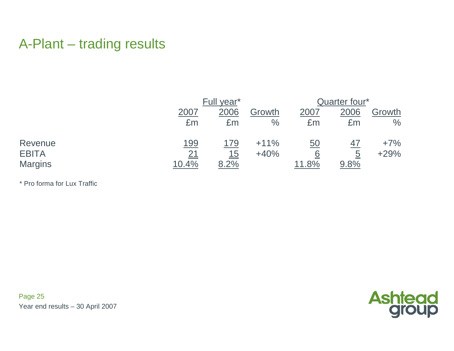## A-Plant – trading results

|                | Full year*  |      |        | Quarter four* |      |        |  |
|----------------|-------------|------|--------|---------------|------|--------|--|
|                | 2007        | 2006 | Growth | 2007          | 2006 | Growth |  |
|                | £m          | £m   | $\%$   | £m            | £m   | $\%$   |  |
| Revenue        | <u> 199</u> | 179  | $+11%$ | 50            | 47   | $+7\%$ |  |
| <b>EBITA</b>   | 21          | 15   | $+40%$ | 6             | 5    | $+29%$ |  |
| <b>Margins</b> | 10.4%       | 8.2% |        | 11.8%         | 9.8% |        |  |

\* Pro forma for Lux Traffic

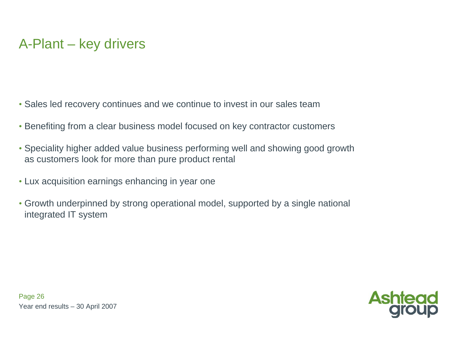- Sales led recovery continues and we continue to invest in our sales team
- Benefiting from a clear business model focused on key contractor customers
- Speciality higher added value business performing well and showing good growth as customers look for more than pure product rental
- Lux acquisition earnings enhancing in year one
- Growth underpinned by strong operational model, supported by a single national integrated IT system

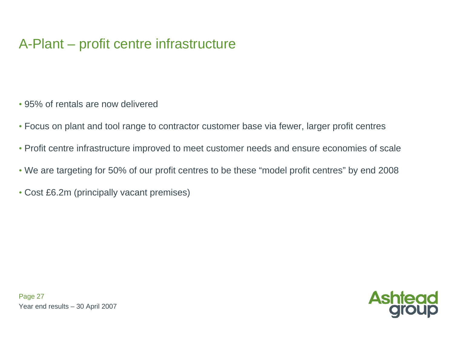# A-Plant – profit centre infrastructure

- 95% of rentals are now delivered
- Focus on plant and tool range to contractor customer base via fewer, larger profit centres
- Profit centre infrastructure improved to meet customer needs and ensure economies of scale
- We are targeting for 50% of our profit centres to be these "model profit centres" by end 2008
- Cost £6.2m (principally vacant premises)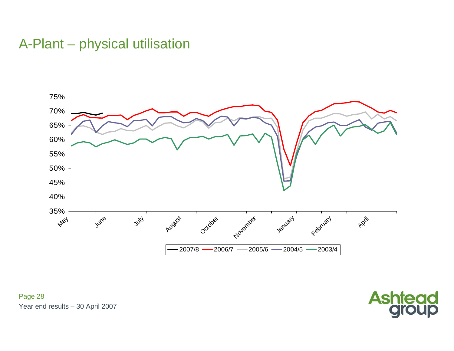## A-Plant – physical utilisation



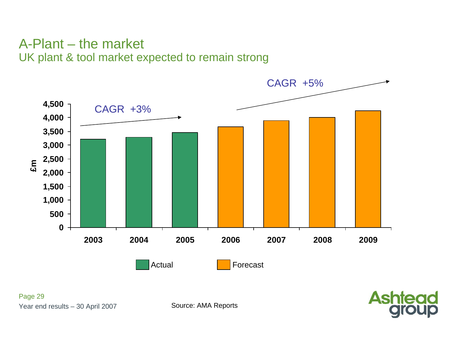#### A-Plant – the market UK plant & tool market expected to remain strong

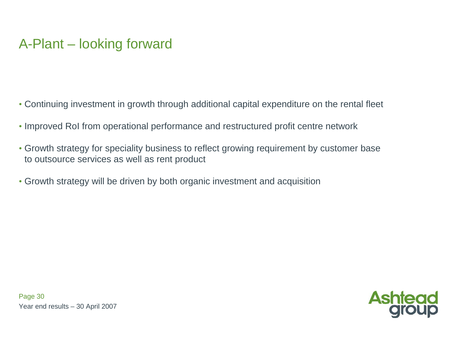# A-Plant – looking forward

- Continuing investment in growth through additional capital expenditure on the rental fleet
- Improved RoI from operational performance and restructured profit centre network
- Growth strategy for speciality business to reflect growing requirement by customer base to outsource services as well as rent product
- Growth strategy will be driven by both organic investment and acquisition

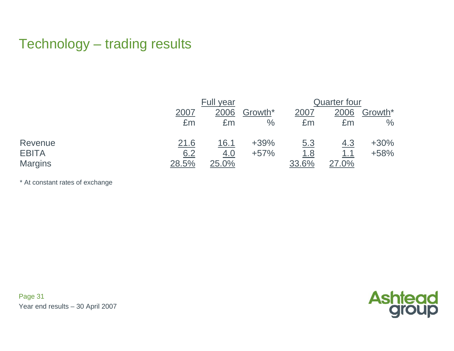## Technology – trading results

|                |       | Full year  |         | Quarter four |            |         |  |
|----------------|-------|------------|---------|--------------|------------|---------|--|
|                | 2007  | 2006       | Growth* | 2007         | 2006       | Growth* |  |
|                | £m    | £m         | $\%$    | £m           | £m         | $\%$    |  |
| Revenue        | 21.6  | 16.1       | $+39%$  | <u>5.3</u>   | <u>4.3</u> | $+30%$  |  |
| <b>EBITA</b>   | 6.2   | <u>4.0</u> | $+57%$  | <u>1.8</u>   | <u>1.1</u> | $+58%$  |  |
| <b>Margins</b> | 28.5% | 25.0%      |         | 33.6%        | 27.0%      |         |  |

\* At constant rates of exchange

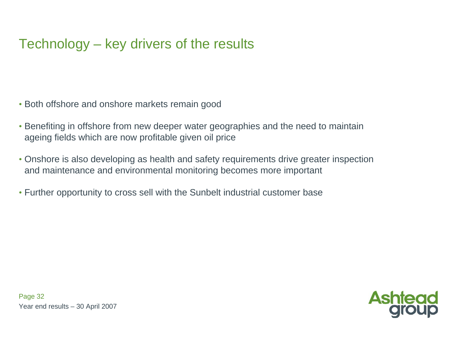# Technology – key drivers of the results

- Both offshore and onshore markets remain good
- Benefiting in offshore from new deeper water geographies and the need to maintain ageing fields which are now profitable given oil price
- Onshore is also developing as health and safety requirements drive greater inspection and maintenance and environmental monitoring becomes more important
- Further opportunity to cross sell with the Sunbelt industrial customer base

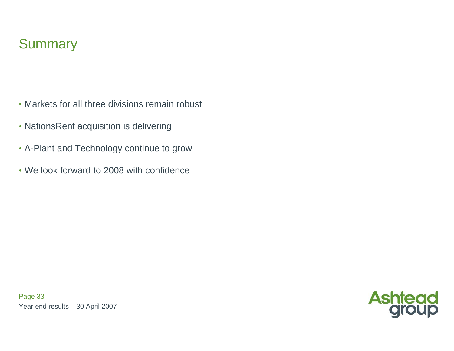## **Summary**

- Markets for all three divisions remain robust
- NationsRent acquisition is delivering
- A-Plant and Technology continue to grow
- We look forward to 2008 with confidence



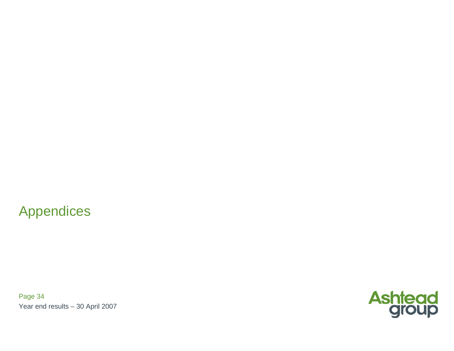### Appendices

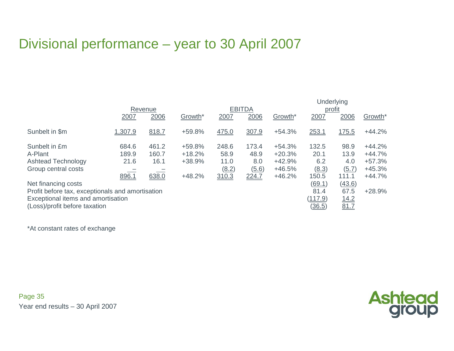# Divisional performance – year to 30 April 2007

|                                                                                                                                                | <b>EBITDA</b><br>Revenue        |                                 |                                          |                                         |                                        | Underlying<br>profit                                     |                                        |                                       |                                                          |
|------------------------------------------------------------------------------------------------------------------------------------------------|---------------------------------|---------------------------------|------------------------------------------|-----------------------------------------|----------------------------------------|----------------------------------------------------------|----------------------------------------|---------------------------------------|----------------------------------------------------------|
|                                                                                                                                                | 2007                            | 2006                            | Growth*                                  | 2007                                    | 2006                                   | Growth*                                                  | 2007                                   | 2006                                  | Growth*                                                  |
| Sunbelt in \$m                                                                                                                                 | 1,307.9                         | 818.7                           | +59.8%                                   | 475.0                                   | 307.9                                  | $+54.3%$                                                 | 253.1                                  | 175.5                                 | $+44.2%$                                                 |
| Sunbelt in £m<br>A-Plant<br><b>Ashtead Technology</b><br>Group central costs                                                                   | 684.6<br>189.9<br>21.6<br>896.1 | 461.2<br>160.7<br>16.1<br>638.0 | +59.8%<br>$+18.2%$<br>+38.9%<br>$+48.2%$ | 248.6<br>58.9<br>11.0<br>(8.2)<br>310.3 | 173.4<br>48.9<br>8.0<br>(5.6)<br>224.7 | $+54.3%$<br>$+20.3%$<br>$+42.9%$<br>$+46.5%$<br>$+46.2%$ | 132.5<br>20.1<br>6.2<br>(8.3)<br>150.5 | 98.9<br>13.9<br>4.0<br>(5.7)<br>111.1 | $+44.2%$<br>$+44.7%$<br>$+57.3%$<br>$+45.3%$<br>$+44.7%$ |
| Net financing costs<br>Profit before tax, exceptionals and amortisation<br>Exceptional items and amortisation<br>(Loss)/profit before taxation |                                 |                                 |                                          |                                         |                                        |                                                          | (69.1)<br>81.4<br>(117.9)<br>(36.5)    | (43.6)<br>67.5<br>14.2<br>81.7        | $+28.9%$                                                 |

\*At con stant rates of exchan g e

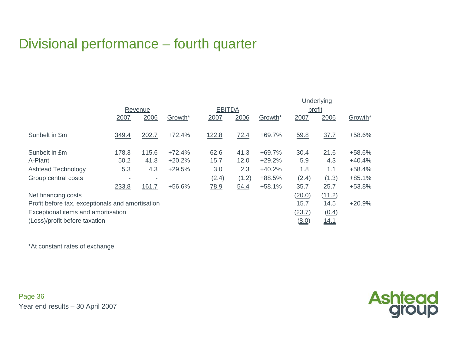# Divisional performance – fourth quarter

|                                                  |       |              |          |       | Underlying    |          |        |             |          |  |
|--------------------------------------------------|-------|--------------|----------|-------|---------------|----------|--------|-------------|----------|--|
|                                                  |       | Revenue      |          |       | <b>EBITDA</b> |          |        | profit      |          |  |
|                                                  | 2007  | 2006         | Growth*  | 2007  | 2006          | Growth*  | 2007   | 2006        | Growth*  |  |
| Sunbelt in \$m                                   | 349.4 | 202.7        | $+72.4%$ | 122.8 | 72.4          | $+69.7%$ | 59.8   | 37.7        | +58.6%   |  |
| Sunbelt in £m                                    | 178.3 | 115.6        | $+72.4%$ | 62.6  | 41.3          | $+69.7%$ | 30.4   | 21.6        | +58.6%   |  |
| A-Plant                                          | 50.2  | 41.8         | $+20.2%$ | 15.7  | 12.0          | $+29.2%$ | 5.9    | 4.3         | $+40.4%$ |  |
| <b>Ashtead Technology</b>                        | 5.3   | 4.3          | $+29.5%$ | 3.0   | 2.3           | $+40.2%$ | 1.8    | 1.1         | $+58.4%$ |  |
| Group central costs                              |       |              |          | (2.4) | (1.2)         | +88.5%   | (2.4)  | (1.3)       | $+85.1%$ |  |
|                                                  | 233.8 | <u>161.7</u> | +56.6%   | 78.9  | 54.4          | $+58.1%$ | 35.7   | 25.7        | $+53.8%$ |  |
| Net financing costs                              |       |              |          |       |               |          | (20.0) | (11.2)      |          |  |
| Profit before tax, exceptionals and amortisation |       |              |          |       |               |          | 15.7   | 14.5        | $+20.9%$ |  |
| Exceptional items and amortisation               |       |              |          |       |               |          | (23.7) | (0.4)       |          |  |
| (Loss)/profit before taxation                    |       |              |          |       |               |          | (8.0)  | <u>14.1</u> |          |  |

\*At co n stant rates of e xcha nge

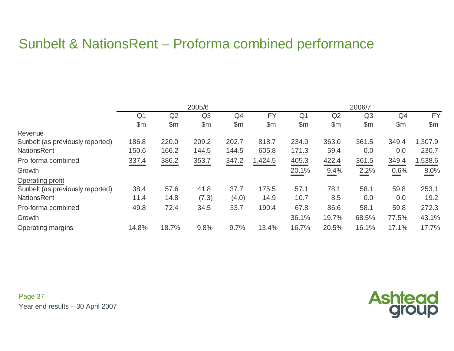# Sunbelt & NationsRent – Proforma combined performance

|                                  | 2005/6 |       |                |       | 2006/7    |                |       |                |               |                         |
|----------------------------------|--------|-------|----------------|-------|-----------|----------------|-------|----------------|---------------|-------------------------|
|                                  | Q1     | Q2    | Q <sub>3</sub> | Q4    | <b>FY</b> | Q <sub>1</sub> | Q2    | Q <sub>3</sub> | Q4            | <b>FY</b>               |
|                                  | \$m    | \$m\$ | \$m            | \$m   | \$m\$     | $\mathsf{\$m}$ | \$m\$ | \$m\$          | $\mathsf{Sm}$ | \$m\$                   |
| Revenue                          |        |       |                |       |           |                |       |                |               |                         |
| Sunbelt (as previously reported) | 186.8  | 220.0 | 209.2          | 202.7 | 818.7     | 234.0          | 363.0 | 361.5          | 349.4         | 1,307.9                 |
| <b>NationsRent</b>               | 150.6  | 166.2 | 144.5          | 144.5 | 605.8     | 171.3          | 59.4  | 0.0            | 0.0           | 230.7                   |
| Pro-forma combined               | 337.4  | 386.2 | 353.7          | 347.2 | 1,424.5   | 405.3          | 422.4 | 361.5          | 349.4         | 1,538.6                 |
| Growth                           |        |       |                |       |           | 20.1%          | 9.4%  | 2.2%           | 0.6%          | 8.0%                    |
| Operating profit                 |        |       |                |       |           |                |       |                |               |                         |
| Sunbelt (as previously reported) | 38.4   | 57.6  | 41.8           | 37.7  | 175.5     | 57.1           | 78.1  | 58.1           | 59.8          | 253.1                   |
| <b>NationsRent</b>               | 11.4   | 14.8  | (7.3)          | (4.0) | 14.9      | 10.7           | 8.5   | 0.0            | 0.0           | 19.2                    |
| Pro-forma combined               | 49.8   | 72.4  | 34.5           | 33.7  | 190.4     | 67.8           | 86.6  | 58.1           | 59.8          | 272.3                   |
| Growth                           |        |       |                |       |           | 36.1%          | 19.7% | 68.5%          | 77.5%         | $\frac{43.1\%}{43.1\%}$ |
| Operating margins                | 14.8%  | 18.7% | 9.8%           | 9.7%  | 13.4%     | 16.7%          | 20.5% | 16.1%          | 17.1%         | 17.7%                   |